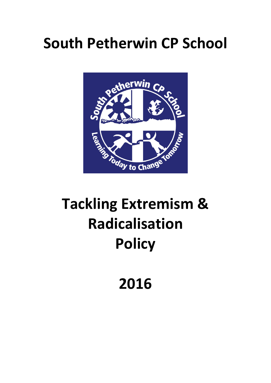## **South Petherwin CP School**



# **Tackling Extremism & Radicalisation Policy**

### **2016**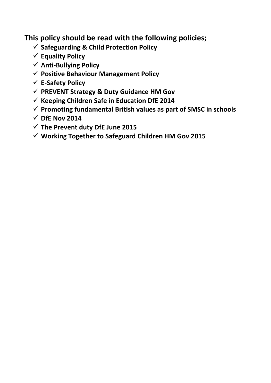**This policy should be read with the following policies;** 

- **Safeguarding & Child Protection Policy**
- **Equality Policy**
- **Anti-Bullying Policy**
- **Positive Behaviour Management Policy**
- **E-Safety Policy**
- **PREVENT Strategy & Duty Guidance HM Gov**
- **Keeping Children Safe in Education DfE 2014**
- **Promoting fundamental British values as part of SMSC in schools**
- $\checkmark$  DfE Nov 2014
- **The Prevent duty DfE June 2015**
- **Working Together to Safeguard Children HM Gov 2015**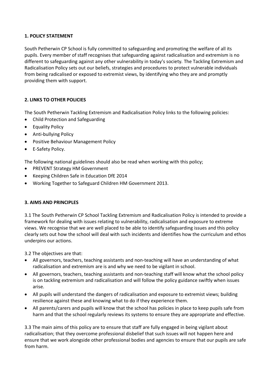#### **1. POLICY STATEMENT**

South Petherwin CP School is fully committed to safeguarding and promoting the welfare of all its pupils. Every member of staff recognises that safeguarding against radicalisation and extremism is no different to safeguarding against any other vulnerability in today's society*.* The Tackling Extremism and Radicalisation Policy sets out our beliefs, strategies and procedures to protect vulnerable individuals from being radicalised or exposed to extremist views, by identifying who they are and promptly providing them with support.

#### **2. LINKS TO OTHER POLICIES**

The South Petherwin Tackling Extremism and Radicalisation Policy links to the following policies:

- Child Protection and Safeguarding
- Equality Policy
- Anti-bullying Policy
- Positive Behaviour Management Policy
- E-Safety Policy.

The following national guidelines should also be read when working with this policy;

- PREVENT Strategy HM Government
- Keeping Children Safe in Education DfE 2014
- Working Together to Safeguard Children HM Government 2013.

#### **3. AIMS AND PRINCIPLES**

3.1 The South Petherwin CP School Tackling Extremism and Radicalisation Policy is intended to provide a framework for dealing with issues relating to vulnerability, radicalisation and exposure to extreme views. We recognise that we are well placed to be able to identify safeguarding issues and this policy clearly sets out how the school will deal with such incidents and identifies how the curriculum and ethos underpins our actions.

3.2 The objectives are that:

- All governors, teachers, teaching assistants and non-teaching will have an understanding of what radicalisation and extremism are is and why we need to be vigilant in school.
- All governors, teachers, teaching assistants and non-teaching staff will know what the school policy is on tackling extremism and radicalisation and will follow the policy guidance swiftly when issues arise.
- All pupils will understand the dangers of radicalisation and exposure to extremist views; building resilience against these and knowing what to do if they experience them.
- All parents/carers and pupils will know that the school has policies in place to keep pupils safe from harm and that the school regularly reviews its systems to ensure they are appropriate and effective.

3.3 The main aims of this policy are to ensure that staff are fully engaged in being vigilant about radicalisation; that they overcome professional disbelief that such issues will not happen here and ensure that we work alongside other professional bodies and agencies to ensure that our pupils are safe from harm.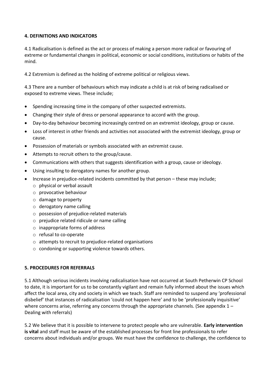#### **4. DEFINITIONS AND INDICATORS**

4.1 Radicalisation is defined as the act or process of making a person more radical or favouring of extreme or fundamental changes in political, economic or social conditions, institutions or habits of the mind.

4.2 Extremism is defined as the holding of extreme political or religious views.

4.3 There are a number of behaviours which may indicate a child is at risk of being radicalised or exposed to extreme views. These include;

- Spending increasing time in the company of other suspected extremists.
- Changing their style of dress or personal appearance to accord with the group.
- Day-to-day behaviour becoming increasingly centred on an extremist ideology, group or cause.
- Loss of interest in other friends and activities not associated with the extremist ideology, group or cause.
- Possession of materials or symbols associated with an extremist cause.
- Attempts to recruit others to the group/cause.
- Communications with others that suggests identification with a group, cause or ideology.
- Using insulting to derogatory names for another group.
- Increase in prejudice-related incidents committed by that person these may include;
	- o physical or verbal assault
	- o provocative behaviour
	- o damage to property
	- o derogatory name calling
	- o possession of prejudice-related materials
	- o prejudice related ridicule or name calling
	- o inappropriate forms of address
	- o refusal to co-operate
	- $\circ$  attempts to recruit to prejudice-related organisations
	- o condoning or supporting violence towards others.

#### **5. PROCEDURES FOR REFERRALS**

5.1 Although serious incidents involving radicalisation have not occurred at South Petherwin CP School to date, it is important for us to be constantly vigilant and remain fully informed about the issues which affect the local area, city and society in which we teach. Staff are reminded to suspend any 'professional disbelief' that instances of radicalisation 'could not happen here' and to be 'professionally inquisitive' where concerns arise, referring any concerns through the appropriate channels. (See appendix  $1 -$ Dealing with referrals)

5.2 We believe that it is possible to intervene to protect people who are vulnerable. **Early intervention is vital** and staff must be aware of the established processes for front line professionals to refer concerns about individuals and/or groups. We must have the confidence to challenge, the confidence to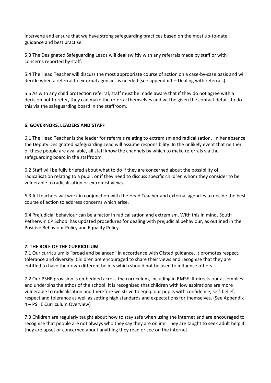intervene and ensure that we have strong safeguarding practices based on the most up-to-date guidance and best practise.

5.3 The Designated Safeguarding Leads will deal swiftly with any referrals made by staff or with concerns reported by staff.

5.4 The Head Teacher will discuss the most appropriate course of action on a case-by-case basis and will decide when a referral to external agencies is needed (see appendix 1 – Dealing with referrals)

5.5 As with any child protection referral, staff must be made aware that if they do not agree with a decision not to refer, they can make the referral themselves and will be given the contact details to do this via the safeguarding board in the staffroom.

#### **6. GOVERNORS, LEADERS AND STAFF**

6.1 The Head Teacher is the leader for referrals relating to extremism and radicalisation. In her absence the Deputy Designated Safeguarding Lead will assume responsibility. In the unlikely event that neither of these people are available, all staff know the channels by which to make referrals via the safeguarding board in the staffroom.

6.2 Staff will be fully briefed about what to do if they are concerned about the possibility of radicalisation relating to a pupil, or if they need to discuss specific children whom they consider to be vulnerable to radicalisation or extremist views.

6.3 All teachers will work in conjunction with the Head Teacher and external agencies to decide the best course of action to address concerns which arise.

6.4 Prejudicial behaviour can be a factor in radicalisation and extremism. With this in mind, South Petherwin CP School has updated procedures for dealing with prejudicial behaviour, as outlined in the Positive Behaviour Policy and Equality Policy.

#### **7. THE ROLE OF THE CURRICULUM**

7.1 Our curriculum is "broad and balanced" in accordance with Ofsted guidance. It promotes respect, tolerance and diversity. Children are encouraged to share their views and recognise that they are entitled to have their own different beliefs which should not be used to influence others.

7.2 Our PSHE provision is embedded across the curriculum, including in RMSE. It directs our assemblies and underpins the ethos of the school. It is recognised that children with low aspirations are more vulnerable to radicalisation and therefore we strive to equip our pupils with confidence, self-belief, respect and tolerance as well as setting high standards and expectations for themselves. (See Appendix 4 – PSHE Curriculum Overview)

7.3 Children are regularly taught about how to stay safe when using the internet and are encouraged to recognise that people are not always who they say they are online. They are taught to seek adult help if they are upset or concerned about anything they read or see on the internet.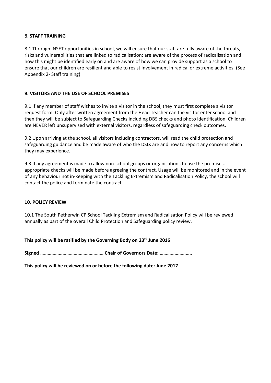#### 8. **STAFF TRAINING**

8.1 Through INSET opportunities in school, we will ensure that our staff are fully aware of the threats, risks and vulnerabilities that are linked to radicalisation; are aware of the process of radicalisation and how this might be identified early on and are aware of how we can provide support as a school to ensure that our children are resilient and able to resist involvement in radical or extreme activities. (See Appendix 2- Staff training)

#### **9. VISITORS AND THE USE OF SCHOOL PREMISES**

9.1 If any member of staff wishes to invite a visitor in the school, they must first complete a visitor request form. Only after written agreement from the Head Teacher can the visitor enter school and then they will be subject to Safeguarding Checks including DBS checks and photo identification. Children are NEVER left unsupervised with external visitors, regardless of safeguarding check outcomes.

9.2 Upon arriving at the school, all visitors including contractors, will read the child protection and safeguarding guidance and be made aware of who the DSLs are and how to report any concerns which they may experience.

9.3 If any agreement is made to allow non-school groups or organisations to use the premises, appropriate checks will be made before agreeing the contract. Usage will be monitored and in the event of any behaviour not in-keeping with the Tackling Extremism and Radicalisation Policy, the school will contact the police and terminate the contract.

#### **10. POLICY REVIEW**

10.1 The South Petherwin CP School Tackling Extremism and Radicalisation Policy will be reviewed annually as part of the overall Child Protection and Safeguarding policy review.

**This policy will be ratified by the Governing Body on 23rd June 2016**

**Signed …………………………………………… Chair of Governors Date: ……………………..** 

**This policy will be reviewed on or before the following date: June 2017**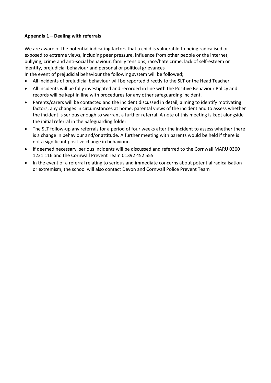#### **Appendix 1 – Dealing with referrals**

We are aware of the potential indicating factors that a child is vulnerable to being radicalised or exposed to extreme views, including peer pressure, influence from other people or the internet, bullying, crime and anti-social behaviour, family tensions, race/hate crime, lack of self-esteem or identity, prejudicial behaviour and personal or political grievances

In the event of prejudicial behaviour the following system will be followed;

- All incidents of prejudicial behaviour will be reported directly to the SLT or the Head Teacher.
- All incidents will be fully investigated and recorded in line with the Positive Behaviour Policy and records will be kept in line with procedures for any other safeguarding incident.
- Parents/carers will be contacted and the incident discussed in detail, aiming to identify motivating factors, any changes in circumstances at home, parental views of the incident and to assess whether the incident is serious enough to warrant a further referral. A note of this meeting is kept alongside the initial referral in the Safeguarding folder.
- The SLT follow-up any referrals for a period of four weeks after the incident to assess whether there is a change in behaviour and/or attitude. A further meeting with parents would be held if there is not a significant positive change in behaviour.
- If deemed necessary, serious incidents will be discussed and referred to the Cornwall MARU 0300 1231 116 and the Cornwall Prevent Team 01392 452 555
- In the event of a referral relating to serious and immediate concerns about potential radicalisation or extremism, the school will also contact Devon and Cornwall Police Prevent Team